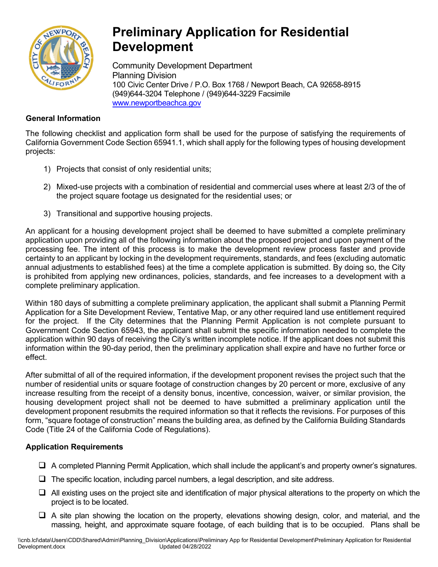

## **Preliminary Application for Residential Development**

Community Development Department Planning Division 100 Civic Center Drive / P.O. Box 1768 / Newport Beach, CA 92658-8915 (949)644-3204 Telephone / (949)644-3229 Facsimil[e](http://www.newportbeachca.gov/) [www.newportbeachca.gov](http://www.newportbeachca.gov/)

## **General Information**

The following checklist and application form shall be used for the purpose of satisfying the requirements of California Government Code Section 65941.1, which shall apply for the following types of housing development projects:

- 1) Projects that consist of only residential units;
- 2) Mixed-use projects with a combination of residential and commercial uses where at least 2/3 of the of the project square footage us designated for the residential uses; or
- 3) Transitional and supportive housing projects.

An applicant for a housing development project shall be deemed to have submitted a complete preliminary application upon providing all of the following information about the proposed project and upon payment of the processing fee. The intent of this process is to make the development review process faster and provide certainty to an applicant by locking in the development requirements, standards, and fees (excluding automatic annual adjustments to established fees) at the time a complete application is submitted. By doing so, the City is prohibited from applying new ordinances, policies, standards, and fee increases to a development with a complete preliminary application.

Within 180 days of submitting a complete preliminary application, the applicant shall submit a Planning Permit Application for a Site Development Review, Tentative Map, or any other required land use entitlement required for the project. If the City determines that the Planning Permit Application is not complete pursuant to Government Code Section 65943, the applicant shall submit the specific information needed to complete the application within 90 days of receiving the City's written incomplete notice. If the applicant does not submit this information within the 90-day period, then the preliminary application shall expire and have no further force or effect.

After submittal of all of the required information, if the development proponent revises the project such that the number of residential units or square footage of construction changes by 20 percent or more, exclusive of any increase resulting from the receipt of a density bonus, incentive, concession, waiver, or similar provision, the housing development project shall not be deemed to have submitted a preliminary application until the development proponent resubmits the required information so that it reflects the revisions. For purposes of this form, "square footage of construction" means the building area, as defined by the California Building Standards Code (Title 24 of the California Code of Regulations).

## **Application Requirements**

- A completed Planning Permit Application, which shall include the applicant's and property owner's signatures.
- $\Box$  The specific location, including parcel numbers, a legal description, and site address.
- $\Box$  All existing uses on the project site and identification of major physical alterations to the property on which the project is to be located.
- $\Box$  A site plan showing the location on the property, elevations showing design, color, and material, and the massing, height, and approximate square footage, of each building that is to be occupied. Plans shall be